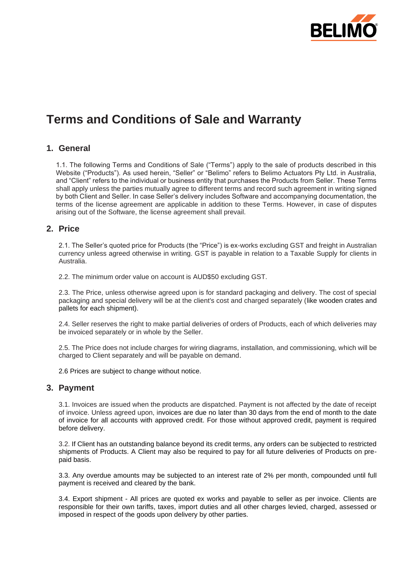

# **Terms and Conditions of Sale and Warranty**

## **1. General**

1.1. The following Terms and Conditions of Sale ("Terms") apply to the sale of products described in this Website ("Products"). As used herein, "Seller" or "Belimo" refers to Belimo Actuators Pty Ltd. in Australia, and "Client" refers to the individual or business entity that purchases the Products from Seller. These Terms shall apply unless the parties mutually agree to different terms and record such agreement in writing signed by both Client and Seller. In case Seller's delivery includes Software and accompanying documentation, the terms of the license agreement are applicable in addition to these Terms. However, in case of disputes arising out of the Software, the license agreement shall prevail.

## **2. Price**

2.1. The Seller's quoted price for Products (the "Price") is ex-works excluding GST and freight in Australian currency unless agreed otherwise in writing. GST is payable in relation to a Taxable Supply for clients in Australia.

2.2. The minimum order value on account is AUD\$50 excluding GST.

2.3. The Price, unless otherwise agreed upon is for standard packaging and delivery. The cost of special packaging and special delivery will be at the client's cost and charged separately (like wooden crates and pallets for each shipment).

2.4. Seller reserves the right to make partial deliveries of orders of Products, each of which deliveries may be invoiced separately or in whole by the Seller.

2.5. The Price does not include charges for wiring diagrams, installation, and commissioning, which will be charged to Client separately and will be payable on demand.

2.6 Prices are subject to change without notice.

## **3. Payment**

3.1. Invoices are issued when the products are dispatched. Payment is not affected by the date of receipt of invoice. Unless agreed upon, invoices are due no later than 30 days from the end of month to the date of invoice for all accounts with approved credit. For those without approved credit, payment is required before delivery.

3.2. If Client has an outstanding balance beyond its credit terms, any orders can be subjected to restricted shipments of Products. A Client may also be required to pay for all future deliveries of Products on prepaid basis.

3.3. Any overdue amounts may be subjected to an interest rate of 2% per month, compounded until full payment is received and cleared by the bank.

3.4. Export shipment - All prices are quoted ex works and payable to seller as per invoice. Clients are responsible for their own tariffs, taxes, import duties and all other charges levied, charged, assessed or imposed in respect of the goods upon delivery by other parties.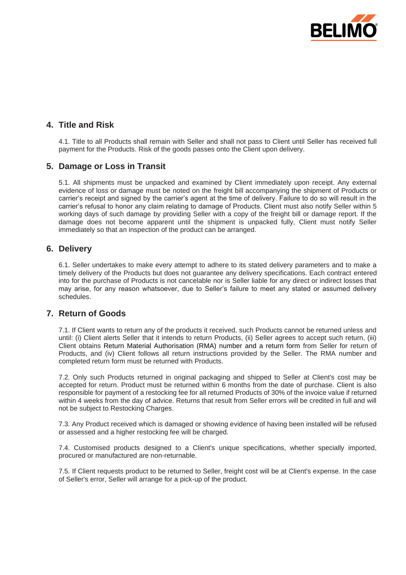

# **4. Title and Risk**

4.1. Title to all Products shall remain with Seller and shall not pass to Client until Seller has received full payment for the Products. Risk of the goods passes onto the Client upon delivery.

## **5. Damage or Loss in Transit**

5.1. All shipments must be unpacked and examined by Client immediately upon receipt. Any external evidence of loss or damage must be noted on the freight bill accompanying the shipment of Products or carrier's receipt and signed by the carrier's agent at the time of delivery. Failure to do so will result in the carrier's refusal to honor any claim relating to damage of Products. Client must also notify Seller within 5 working days of such damage by providing Seller with a copy of the freight bill or damage report. If the damage does not become apparent until the shipment is unpacked fully, Client must notify Seller immediately so that an inspection of the product can be arranged.

## **6. Delivery**

6.1. Seller undertakes to make every attempt to adhere to its stated delivery parameters and to make a timely delivery of the Products but does not guarantee any delivery specifications. Each contract entered into for the purchase of Products is not cancelable nor is Seller liable for any direct or indirect losses that may arise, for any reason whatsoever, due to Seller's failure to meet any stated or assumed delivery schedules.

# **7. Return of Goods**

7.1. If Client wants to return any of the products it received, such Products cannot be returned unless and until: (i) Client alerts Seller that it intends to return Products, (ii) Seller agrees to accept such return, (iii) Client obtains Return Material Authorisation (RMA) number and a return form from Seller for return of Products, and (iv) Client follows all return instructions provided by the Seller. The RMA number and completed return form must be returned with Products.

7.2. Only such Products returned in original packaging and shipped to Seller at Client's cost may be accepted for return. Product must be returned within 6 months from the date of purchase. Client is also responsible for payment of a restocking fee for all returned Products of 30% of the invoice value if returned within 4 weeks from the day of advice. Returns that result from Seller errors will be credited in full and will not be subject to Restocking Charges.

7.3. Any Product received which is damaged or showing evidence of having been installed will be refused or assessed and a higher restocking fee will be charged.

7.4. Customised products designed to a Client's unique specifications, whether specially imported, procured or manufactured are non-returnable.

7.5. If Client requests product to be returned to Seller, freight cost will be at Client's expense. In the case of Seller's error, Seller will arrange for a pick-up of the product.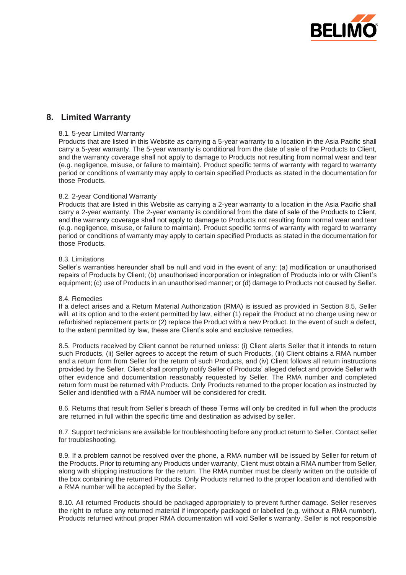

# **8. Limited Warranty**

#### 8.1. 5-year Limited Warranty

Products that are listed in this Website as carrying a 5-year warranty to a location in the Asia Pacific shall carry a 5-year warranty. The 5-year warranty is conditional from the date of sale of the Products to Client, and the warranty coverage shall not apply to damage to Products not resulting from normal wear and tear (e.g. negligence, misuse, or failure to maintain). Product specific terms of warranty with regard to warranty period or conditions of warranty may apply to certain specified Products as stated in the documentation for those Products.

#### 8.2. 2-year Conditional Warranty

Products that are listed in this Website as carrying a 2-year warranty to a location in the Asia Pacific shall carry a 2-year warranty. The 2-year warranty is conditional from the date of sale of the Products to Client, and the warranty coverage shall not apply to damage to Products not resulting from normal wear and tear (e.g. negligence, misuse, or failure to maintain). Product specific terms of warranty with regard to warranty period or conditions of warranty may apply to certain specified Products as stated in the documentation for those Products.

#### 8.3. Limitations

Seller's warranties hereunder shall be null and void in the event of any: (a) modification or unauthorised repairs of Products by Client; (b) unauthorised incorporation or integration of Products into or with Client's equipment; (c) use of Products in an unauthorised manner; or (d) damage to Products not caused by Seller.

#### 8.4. Remedies

If a defect arises and a Return Material Authorization (RMA) is issued as provided in Section 8.5, Seller will, at its option and to the extent permitted by law, either (1) repair the Product at no charge using new or refurbished replacement parts or (2) replace the Product with a new Product. In the event of such a defect, to the extent permitted by law, these are Client's sole and exclusive remedies.

8.5. Products received by Client cannot be returned unless: (i) Client alerts Seller that it intends to return such Products, (ii) Seller agrees to accept the return of such Products, (iii) Client obtains a RMA number and a return form from Seller for the return of such Products, and (iv) Client follows all return instructions provided by the Seller. Client shall promptly notify Seller of Products' alleged defect and provide Seller with other evidence and documentation reasonably requested by Seller. The RMA number and completed return form must be returned with Products. Only Products returned to the proper location as instructed by Seller and identified with a RMA number will be considered for credit.

8.6. Returns that result from Seller's breach of these Terms will only be credited in full when the products are returned in full within the specific time and destination as advised by seller.

8.7. Support technicians are available for troubleshooting before any product return to Seller. Contact seller for troubleshooting.

8.9. If a problem cannot be resolved over the phone, a RMA number will be issued by Seller for return of the Products. Prior to returning any Products under warranty, Client must obtain a RMA number from Seller, along with shipping instructions for the return. The RMA number must be clearly written on the outside of the box containing the returned Products. Only Products returned to the proper location and identified with a RMA number will be accepted by the Seller.

8.10. All returned Products should be packaged appropriately to prevent further damage. Seller reserves the right to refuse any returned material if improperly packaged or labelled (e.g. without a RMA number). Products returned without proper RMA documentation will void Seller's warranty. Seller is not responsible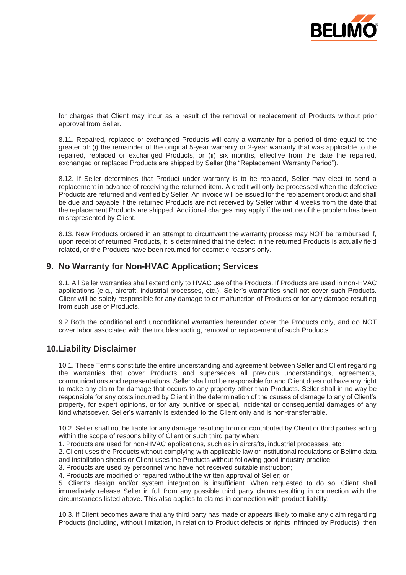

for charges that Client may incur as a result of the removal or replacement of Products without prior approval from Seller.

8.11. Repaired, replaced or exchanged Products will carry a warranty for a period of time equal to the greater of: (i) the remainder of the original 5-year warranty or 2-year warranty that was applicable to the repaired, replaced or exchanged Products, or (ii) six months, effective from the date the repaired, exchanged or replaced Products are shipped by Seller (the "Replacement Warranty Period").

8.12. If Seller determines that Product under warranty is to be replaced, Seller may elect to send a replacement in advance of receiving the returned item. A credit will only be processed when the defective Products are returned and verified by Seller. An invoice will be issued for the replacement product and shall be due and payable if the returned Products are not received by Seller within 4 weeks from the date that the replacement Products are shipped. Additional charges may apply if the nature of the problem has been misrepresented by Client.

8.13. New Products ordered in an attempt to circumvent the warranty process may NOT be reimbursed if, upon receipt of returned Products, it is determined that the defect in the returned Products is actually field related, or the Products have been returned for cosmetic reasons only.

# **9. No Warranty for Non-HVAC Application; Services**

9.1. All Seller warranties shall extend only to HVAC use of the Products. If Products are used in non-HVAC applications (e.g., aircraft, industrial processes, etc.), Seller's warranties shall not cover such Products. Client will be solely responsible for any damage to or malfunction of Products or for any damage resulting from such use of Products.

9.2 Both the conditional and unconditional warranties hereunder cover the Products only, and do NOT cover labor associated with the troubleshooting, removal or replacement of such Products.

# **10.Liability Disclaimer**

10.1. These Terms constitute the entire understanding and agreement between Seller and Client regarding the warranties that cover Products and supersedes all previous understandings, agreements, communications and representations. Seller shall not be responsible for and Client does not have any right to make any claim for damage that occurs to any property other than Products. Seller shall in no way be responsible for any costs incurred by Client in the determination of the causes of damage to any of Client's property, for expert opinions, or for any punitive or special, incidental or consequential damages of any kind whatsoever. Seller's warranty is extended to the Client only and is non-transferrable.

10.2. Seller shall not be liable for any damage resulting from or contributed by Client or third parties acting within the scope of responsibility of Client or such third party when:

1. Products are used for non-HVAC applications, such as in aircrafts, industrial processes, etc.;

2. Client uses the Products without complying with applicable law or institutional regulations or Belimo data and installation sheets or Client uses the Products without following good industry practice;

3. Products are used by personnel who have not received suitable instruction;

4. Products are modified or repaired without the written approval of Seller; or

5. Client's design and/or system integration is insufficient. When requested to do so, Client shall immediately release Seller in full from any possible third party claims resulting in connection with the circumstances listed above. This also applies to claims in connection with product liability.

10.3. If Client becomes aware that any third party has made or appears likely to make any claim regarding Products (including, without limitation, in relation to Product defects or rights infringed by Products), then